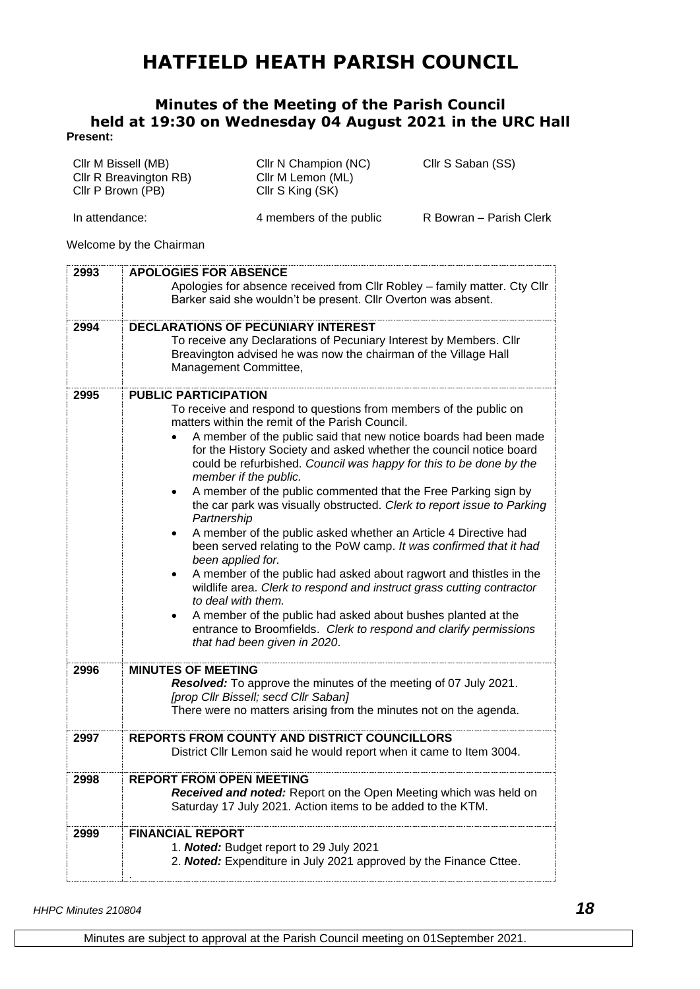## **HATFIELD HEATH PARISH COUNCIL**

## **Minutes of the Meeting of the Parish Council held at 19:30 on Wednesday 04 August 2021 in the URC Hall Present:**

| Cllr M Bissell (MB)<br>Cllr R Breavington RB)<br>Cllr P Brown (PB) | Cllr N Champion (NC)<br>Cllr M Lemon (ML)<br>Cllr S King (SK) | Cllr S Saban (SS)       |
|--------------------------------------------------------------------|---------------------------------------------------------------|-------------------------|
| In attendance:                                                     | 4 members of the public                                       | R Bowran – Parish Clerk |

Welcome by the Chairman

| 2993 | <b>APOLOGIES FOR ABSENCE</b>                                                |
|------|-----------------------------------------------------------------------------|
|      | Apologies for absence received from Cllr Robley - family matter. Cty Cllr   |
|      | Barker said she wouldn't be present. Cllr Overton was absent.               |
|      |                                                                             |
| 2994 | <b>DECLARATIONS OF PECUNIARY INTEREST</b>                                   |
|      | To receive any Declarations of Pecuniary Interest by Members. Cllr          |
|      | Breavington advised he was now the chairman of the Village Hall             |
|      | Management Committee,                                                       |
| 2995 | <b>PUBLIC PARTICIPATION</b>                                                 |
|      | To receive and respond to questions from members of the public on           |
|      | matters within the remit of the Parish Council.                             |
|      | A member of the public said that new notice boards had been made            |
|      | for the History Society and asked whether the council notice board          |
|      | could be refurbished. Council was happy for this to be done by the          |
|      | member if the public.                                                       |
|      | A member of the public commented that the Free Parking sign by<br>$\bullet$ |
|      | the car park was visually obstructed. Clerk to report issue to Parking      |
|      | Partnership                                                                 |
|      | A member of the public asked whether an Article 4 Directive had<br>٠        |
|      | been served relating to the PoW camp. It was confirmed that it had          |
|      | been applied for.                                                           |
|      | A member of the public had asked about ragwort and thistles in the          |
|      | wildlife area. Clerk to respond and instruct grass cutting contractor       |
|      | to deal with them.                                                          |
|      | A member of the public had asked about bushes planted at the                |
|      | entrance to Broomfields. Clerk to respond and clarify permissions           |
|      | that had been given in 2020.                                                |
| 2996 | <b>MINUTES OF MEETING</b>                                                   |
|      | Resolved: To approve the minutes of the meeting of 07 July 2021.            |
|      | [prop Cllr Bissell; secd Cllr Saban]                                        |
|      | There were no matters arising from the minutes not on the agenda.           |
|      |                                                                             |
| 2997 | <b>REPORTS FROM COUNTY AND DISTRICT COUNCILLORS</b>                         |
|      | District Cllr Lemon said he would report when it came to Item 3004.         |
|      |                                                                             |
| 2998 | <b>REPORT FROM OPEN MEETING</b>                                             |
|      | Received and noted: Report on the Open Meeting which was held on            |
|      | Saturday 17 July 2021. Action items to be added to the KTM.                 |
| 2999 | <b>FINANCIAL REPORT</b>                                                     |
|      | 1. Noted: Budget report to 29 July 2021                                     |
|      | 2. Noted: Expenditure in July 2021 approved by the Finance Cttee.           |
|      |                                                                             |

*HHPC Minutes 210804 18*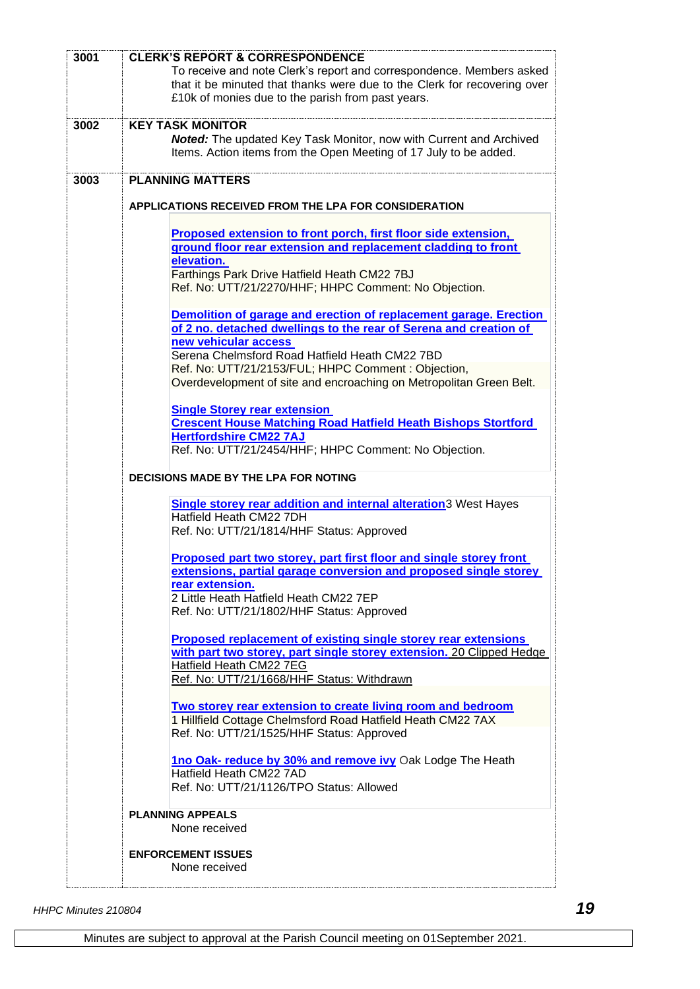| 3001 | <b>CLERK'S REPORT &amp; CORRESPONDENCE</b>                                  |  |  |
|------|-----------------------------------------------------------------------------|--|--|
|      | To receive and note Clerk's report and correspondence. Members asked        |  |  |
|      | that it be minuted that thanks were due to the Clerk for recovering over    |  |  |
|      | £10k of monies due to the parish from past years.                           |  |  |
|      |                                                                             |  |  |
| 3002 | <b>KEY TASK MONITOR</b>                                                     |  |  |
|      | Noted: The updated Key Task Monitor, now with Current and Archived          |  |  |
|      | Items. Action items from the Open Meeting of 17 July to be added.           |  |  |
|      |                                                                             |  |  |
| 3003 | <b>PLANNING MATTERS</b>                                                     |  |  |
|      |                                                                             |  |  |
|      | APPLICATIONS RECEIVED FROM THE LPA FOR CONSIDERATION                        |  |  |
|      |                                                                             |  |  |
|      | Proposed extension to front porch, first floor side extension,              |  |  |
|      | ground floor rear extension and replacement cladding to front               |  |  |
|      | elevation.                                                                  |  |  |
|      | Farthings Park Drive Hatfield Heath CM22 7BJ                                |  |  |
|      | Ref. No: UTT/21/2270/HHF; HHPC Comment: No Objection.                       |  |  |
|      |                                                                             |  |  |
|      | Demolition of garage and erection of replacement garage. Erection           |  |  |
|      | of 2 no. detached dwellings to the rear of Serena and creation of           |  |  |
|      | new vehicular access                                                        |  |  |
|      | Serena Chelmsford Road Hatfield Heath CM22 7BD                              |  |  |
|      | Ref. No: UTT/21/2153/FUL; HHPC Comment: Objection,                          |  |  |
|      | Overdevelopment of site and encroaching on Metropolitan Green Belt.         |  |  |
|      |                                                                             |  |  |
|      | <b>Single Storey rear extension</b>                                         |  |  |
|      | <b>Crescent House Matching Road Hatfield Heath Bishops Stortford</b>        |  |  |
|      | <b>Hertfordshire CM22 7AJ</b>                                               |  |  |
|      | Ref. No: UTT/21/2454/HHF; HHPC Comment: No Objection.                       |  |  |
|      |                                                                             |  |  |
|      | DECISIONS MADE BY THE LPA FOR NOTING                                        |  |  |
|      |                                                                             |  |  |
|      | Single storey rear addition and internal alteration <sup>3</sup> West Hayes |  |  |
|      | Hatfield Heath CM22 7DH                                                     |  |  |
|      | Ref. No: UTT/21/1814/HHF Status: Approved                                   |  |  |
|      |                                                                             |  |  |
|      | Proposed part two storey, part first floor and single storey front          |  |  |
|      | extensions, partial garage conversion and proposed single storey            |  |  |
|      | rear extension.                                                             |  |  |
|      | 2 Little Heath Hatfield Heath CM22 7EP                                      |  |  |
|      | Ref. No: UTT/21/1802/HHF Status: Approved                                   |  |  |
|      |                                                                             |  |  |
|      | <b>Proposed replacement of existing single storey rear extensions</b>       |  |  |
|      | with part two storey, part single storey extension. 20 Clipped Hedge        |  |  |
|      | Hatfield Heath CM22 7EG                                                     |  |  |
|      | Ref. No: UTT/21/1668/HHF Status: Withdrawn                                  |  |  |
|      |                                                                             |  |  |
|      | Two storey rear extension to create living room and bedroom                 |  |  |
|      | 1 Hillfield Cottage Chelmsford Road Hatfield Heath CM22 7AX                 |  |  |
|      | Ref. No: UTT/21/1525/HHF Status: Approved                                   |  |  |
|      |                                                                             |  |  |
|      | 1no Oak- reduce by 30% and remove ivy Oak Lodge The Heath                   |  |  |
|      | Hatfield Heath CM22 7AD                                                     |  |  |
|      | Ref. No: UTT/21/1126/TPO Status: Allowed                                    |  |  |
|      |                                                                             |  |  |
|      | <b>PLANNING APPEALS</b>                                                     |  |  |
|      | None received                                                               |  |  |
|      |                                                                             |  |  |
|      | <b>ENFORCEMENT ISSUES</b>                                                   |  |  |
|      | None received                                                               |  |  |
|      |                                                                             |  |  |
|      |                                                                             |  |  |

*HHPC Minutes 210804 19*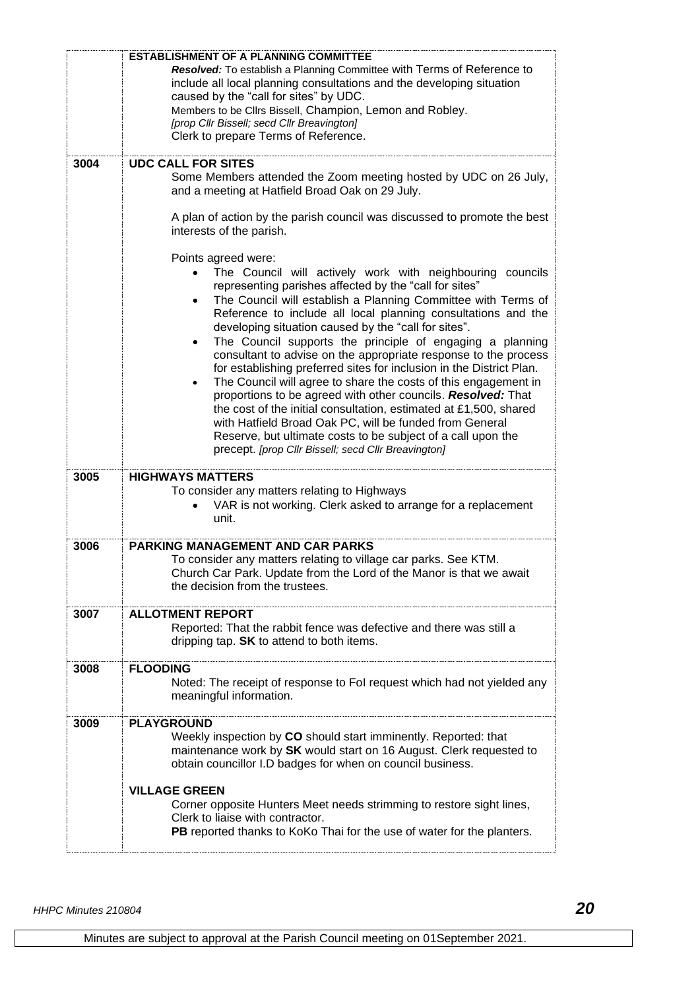|      | <b>ESTABLISHMENT OF A PLANNING COMMITTEE</b><br>Resolved: To establish a Planning Committee with Terms of Reference to<br>include all local planning consultations and the developing situation<br>caused by the "call for sites" by UDC.<br>Members to be Clirs Bissell, Champion, Lemon and Robley.<br>[prop Cllr Bissell; secd Cllr Breavington]<br>Clerk to prepare Terms of Reference.                                                                                                                                                                                                                                                                                                                                                                                                                                                                                                                                                                                                                                                                                                                                                                                                                                  |
|------|------------------------------------------------------------------------------------------------------------------------------------------------------------------------------------------------------------------------------------------------------------------------------------------------------------------------------------------------------------------------------------------------------------------------------------------------------------------------------------------------------------------------------------------------------------------------------------------------------------------------------------------------------------------------------------------------------------------------------------------------------------------------------------------------------------------------------------------------------------------------------------------------------------------------------------------------------------------------------------------------------------------------------------------------------------------------------------------------------------------------------------------------------------------------------------------------------------------------------|
| 3004 | <b>UDC CALL FOR SITES</b><br>Some Members attended the Zoom meeting hosted by UDC on 26 July,<br>and a meeting at Hatfield Broad Oak on 29 July.<br>A plan of action by the parish council was discussed to promote the best<br>interests of the parish.<br>Points agreed were:<br>The Council will actively work with neighbouring councils<br>representing parishes affected by the "call for sites"<br>The Council will establish a Planning Committee with Terms of<br>Reference to include all local planning consultations and the<br>developing situation caused by the "call for sites".<br>The Council supports the principle of engaging a planning<br>$\bullet$<br>consultant to advise on the appropriate response to the process<br>for establishing preferred sites for inclusion in the District Plan.<br>The Council will agree to share the costs of this engagement in<br>$\bullet$<br>proportions to be agreed with other councils. Resolved: That<br>the cost of the initial consultation, estimated at £1,500, shared<br>with Hatfield Broad Oak PC, will be funded from General<br>Reserve, but ultimate costs to be subject of a call upon the<br>precept. [prop Cllr Bissell; secd Cllr Breavington] |
| 3005 | <b>HIGHWAYS MATTERS</b><br>To consider any matters relating to Highways<br>VAR is not working. Clerk asked to arrange for a replacement<br>unit.                                                                                                                                                                                                                                                                                                                                                                                                                                                                                                                                                                                                                                                                                                                                                                                                                                                                                                                                                                                                                                                                             |
| 3006 | <b>PARKING MANAGEMENT AND CAR PARKS</b><br>To consider any matters relating to village car parks. See KTM.<br>Church Car Park. Update from the Lord of the Manor is that we await<br>the decision from the trustees.                                                                                                                                                                                                                                                                                                                                                                                                                                                                                                                                                                                                                                                                                                                                                                                                                                                                                                                                                                                                         |
| 3007 | <b>ALLOTMENT REPORT</b><br>Reported: That the rabbit fence was defective and there was still a<br>dripping tap. SK to attend to both items.                                                                                                                                                                                                                                                                                                                                                                                                                                                                                                                                                                                                                                                                                                                                                                                                                                                                                                                                                                                                                                                                                  |
| 3008 | <b>FLOODING</b><br>Noted: The receipt of response to Fol request which had not yielded any<br>meaningful information.                                                                                                                                                                                                                                                                                                                                                                                                                                                                                                                                                                                                                                                                                                                                                                                                                                                                                                                                                                                                                                                                                                        |
| 3009 | <b>PLAYGROUND</b><br>Weekly inspection by CO should start imminently. Reported: that<br>maintenance work by SK would start on 16 August. Clerk requested to<br>obtain councillor I.D badges for when on council business.<br><b>VILLAGE GREEN</b><br>Corner opposite Hunters Meet needs strimming to restore sight lines,<br>Clerk to liaise with contractor.<br>PB reported thanks to KoKo Thai for the use of water for the planters.                                                                                                                                                                                                                                                                                                                                                                                                                                                                                                                                                                                                                                                                                                                                                                                      |
|      |                                                                                                                                                                                                                                                                                                                                                                                                                                                                                                                                                                                                                                                                                                                                                                                                                                                                                                                                                                                                                                                                                                                                                                                                                              |